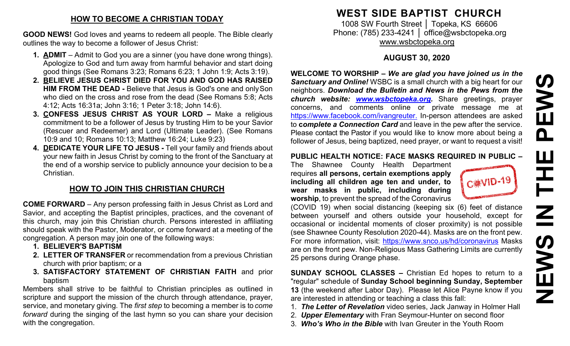### **HOW TO BECOME A CHRISTIAN TODAY**

**GOOD NEWS!** God loves and yearns to redeem all people. The Bible clearly outlines the way to become a follower of Jesus Christ:

- **1. ADMIT**  Admit to God you are a sinner (you have done wrong things). Apologize to God and turn away from harmful behavior and start doing good things (See Romans 3:23; Romans 6:23; 1 John 1:9; Acts 3:19).
- **2. BELIEVE JESUS CHRIST DIED FOR YOU AND GOD HAS RAISED HIM FROM THE DEAD -** Believe that Jesus is God's one and onlySon who died on the cross and rose from the dead (See Romans 5:8; Acts 4:12; Acts 16:31a; John 3:16; 1 Peter 3:18; John 14:6).
- **3. CONFESS JESUS CHRIST AS YOUR LORD –** Make a religious commitment to be a follower of Jesus by trusting Him to be your Savior (Rescuer and Redeemer) and Lord (Ultimate Leader). (See Romans 10:9 and 10; Romans 10:13; Matthew 16:24; Luke 9:23)
- **4. DEDICATE YOUR LIFE TO JESUS -** Tell your family and friends about your new faith in Jesus Christ by coming to the front of the Sanctuary at the end of a worship service to publicly announce your decision to be a Christian.

## **HOW TO JOIN THIS CHRISTIAN CHURCH**

**COME FORWARD** – Any person professing faith in Jesus Christ as Lord and Savior, and accepting the Baptist principles, practices, and the covenant of this church, may join this Christian church. Persons interested in affiliating should speak with the Pastor, Moderator, or come forward at a meeting of the congregation. A person may join one of the following ways:

- **1. BELIEVER'S BAPTISM**
- **2. LETTER OF TRANSFER** or recommendation from a previous Christian church with prior baptism; or a
- **3. SATISFACTORY STATEMENT OF CHRISTIAN FAITH** and prior baptism

Members shall strive to be faithful to Christian principles as outlined in scripture and support the mission of the church through attendance, prayer, service, and monetary giving. The *first step* to becoming a member is to *come forward* during the singing of the last hymn so you can share your decision with the congregation.

# **WEST SIDE BAPTIST CHURCH**

1008 SW Fourth Street | Topeka, KS 66606 Phone: (785) 233-4241 │ [office@wsbctopeka.org](mailto:office@wsbctopeka.org) [www.wsbctopeka.org](http://www.wsbctopeka.org/)

### **AUGUST 30, 2020**

**WELCOME TO WORSHIP –** *We are glad you have joined us in the Sanctuary and Online!* WSBC is a small church with a big heart for our neighbors. *Download the Bulletin and News in the Pews from the church website: [www.wsbctopeka.org.](http://www.wsbctopeka.org/)* Share greetings, prayer concerns, and comments online or private message me at <https://www.facebook.com/ivangreuter.> In-person attendees are asked to **c***omplete a Connection Card* and leave in the pew after the service. Please contact the Pastor if you would like to know more about being a follower of Jesus, being baptized, need prayer, or want to request a visit!

### **PUBLIC HEALTH NOTICE: FACE MASKS REQUIRED IN PUBLIC –**

The Shawnee County Health Department requires **all persons, certain exemptions apply including all children age ten and under, to wear masks in public, including during worship**, to prevent the spread of the Coronavirus

(COVID 19) when social distancing (keeping six (6) feet of distance between yourself and others outside your household, except for occasional or incidental moments of closer proximity) is not possible (see Shawnee County Resolution 2020-44). Masks are on the front pew. For more information, visit:<https://www.snco.us/hd/coronavirus> Masks are on the front pew. Non-Religious Mass Gathering Limits are currently 25 persons during Orange phase.

**SUNDAY SCHOOL CLASSES –** Christian Ed hopes to return to a "regular" schedule of **Sunday School beginning Sunday, September 13** (the weekend after Labor Day). Please let Alice Payne know if you are interested in attending or teaching a class this fall:

- 1. *The Letter of Revelation* video series, Jack Janway in Holmer Hall
- 2. *Upper Elementary* with Fran Seymour-Hunter on second floor
- 3. *Who's Who in the Bible* with Ivan Greuter in the Youth Room

**NE** 

 $\mathbf{\Omega}$ 

**SNEWS**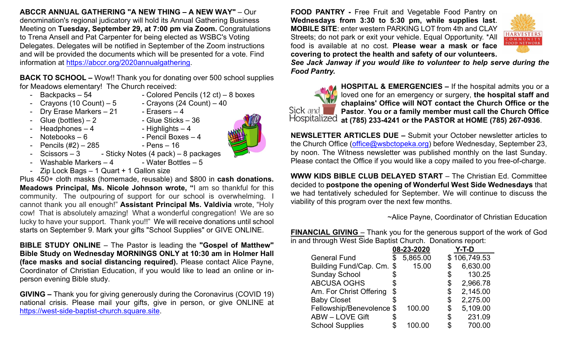**ABCCR ANNUAL GATHERING "A NEW THING – A NEW WAY"** – Our denomination's regional judicatory will hold its Annual Gathering Business Meeting on **Tuesday, September 29, at 7:00 pm via Zoom.** Congratulations to Trena Ansell and Pat Carpenter for being elected as WSBC's Voting Delegates. Delegates will be notified in September of the Zoom instructions and will be provided the documents which will be presented for a vote. Find information at [https://abccr.org/2020annualgathering.](https://abccr.org/2020annualgathering)

**BACK TO SCHOOL –** Wow!! Thank you for donating over 500 school supplies for Meadows elementary! The Church received:

- Backpacks 54 Colored Pencils (12 ct) 8 boxes
- Crayons (10 Count) 5 Crayons (24 Count) 40
- Dry Erase Markers 21 Erasers 4
- Headphones  $-4$
- $G$ lue (bottles) 2  $-$  Glue Sticks 36<br>
Headphones 4  $-$  Highlights 4
	-
- Notebooks 6 Pencil Boxes 4 - Pencils  $(\#2) - 285$  - Pens - 16
- 
- $-$  Scissors 3  $-$  Sticky Notes (4 pack) 8 packages
- Washable Markers  $-4$  Water Bottles  $-5$
- Zip Lock Bags 1 Quart + 1 Gallon size

Plus 450+ cloth masks (homemade, reusable) and \$800 in **cash donations. Meadows Principal, Ms. Nicole Johnson wrote, "**I am so thankful for this community. The outpouring of support for our school is overwhelming. I cannot thank you all enough!" **Assistant Principal Ms. Valdivia** wrote, "Holy cow! That is absolutely amazing! What a wonderful congregation! We are so lucky to have your support. Thank you!!" We will receive donations until school starts on September 9. Mark your gifts "School Supplies" or GIVE ONLINE.

**BIBLE STUDY ONLINE** – The Pastor is leading the **"Gospel of Matthew" Bible Study on Wednesday MORNINGS ONLY at 10:30 am in Holmer Hall (face masks and social distancing required).** Please contact Alice Payne, Coordinator of Christian Education, if you would like to lead an online or inperson evening Bible study.

**GIVING –** Thank you for giving generously during the Coronavirus (COVID 19) national crisis. Please mail your gifts, give in person, or give ONLINE at [https://west-side-baptist-church.square.site.](https://west-side-baptist-church.square.site/)

**FOOD PANTRY -** Free Fruit and Vegetable Food Pantry on **Wednesdays from 3:30 to 5:30 pm, while supplies last**. **MOBILE SITE**: enter western PARKING LOT from 4th and CLAY Streets; do not park or exit your vehicle. Equal Opportunity. \*All food is available at no cost. **Please wear a mask or face covering to protect the health and safety of our volunteers.**



*See Jack Janway if you would like to volunteer to help serve during the Food Pantry.* 



**HOSPITAL & EMERGENCIES –** If the hospital admits you or a loved one for an emergency or surgery, **the hospital staff and chaplains' Office will NOT contact the Church Office or the Pastor**. **You or a family member must call the Church Office**  Hospitalized **at (785) 233-4241 or the PASTOR at HOME (785) 267-0936**.

**NEWSLETTER ARTICLES DUE –** Submit your October newsletter articles to the Church Office [\(office@wsbctopeka.org\)](mailto:office@wsbctopeka.org) before Wednesday, September 23, by noon. The Witness newsletter was published monthly on the last Sunday. Please contact the Office if you would like a copy mailed to you free-of-charge.

**WWW KIDS BIBLE CLUB DELAYED START** – The Christian Ed. Committee decided to **postpone the opening of Wonderful West Side Wednesdays** that we had tentatively scheduled for September. We will continue to discuss the viability of this program over the next few months.

~Alice Payne, Coordinator of Christian Education

**FINANCIAL GIVING** – Thank you for the generous support of the work of God in and through West Side Baptist Church. Donations report:

|                           | 08-23-2020 |    | Y-T-D        |
|---------------------------|------------|----|--------------|
| <b>General Fund</b>       | 5,865.00   |    | \$106,749.53 |
| Building Fund/Cap. Cm. \$ | 15.00      |    | 6,630.00     |
| <b>Sunday School</b>      |            | \$ | 130.25       |
| <b>ABCUSA OGHS</b>        | \$         | \$ | 2,966.78     |
| Am. For Christ Offering   | \$         | \$ | 2,145.00     |
| <b>Baby Closet</b>        |            | \$ | 2,275.00     |
| Fellowship/Benevolence \$ | 100.00     | \$ | 5,109.00     |
| <b>ABW-LOVE Gift</b>      | \$         | \$ | 231.09       |
| <b>School Supplies</b>    | 100.00     | S. | 700.00       |